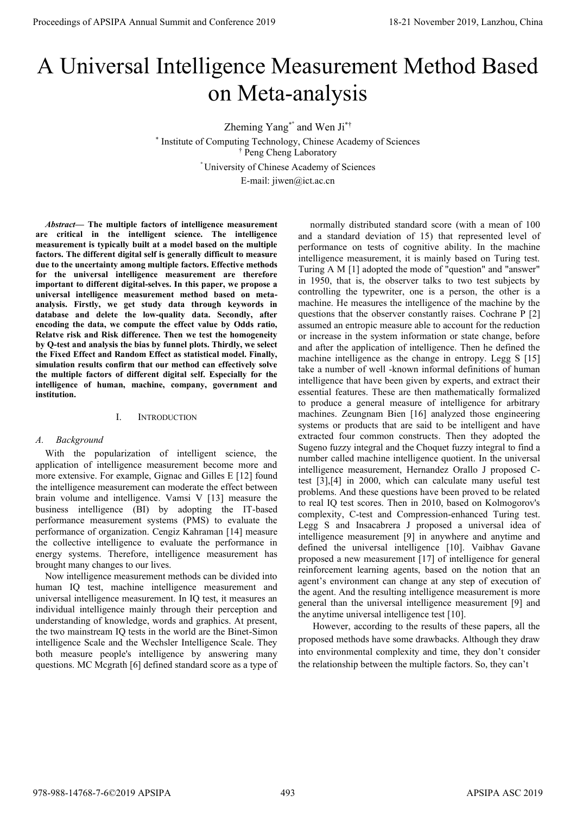# A Universal Intelligence Measurement Method Based on Meta-analysis

Zheming Yang\*° and Wen Ji\*† \* Institute of Computing Technology, Chinese Academy of Sciences † Peng Cheng Laboratory ° University of Chinese Academy of Sciences E-mail: jiwen@ict.ac.cn

*Abstract***— The multiple factors of intelligence measurement are critical in the intelligent science. The intelligence measurement is typically built at a model based on the multiple factors. The different digital self is generally difficult to measure due to the uncertainty among multiple factors. Effective methods for the universal intelligence measurement are therefore important to different digital-selves. In this paper, we propose a universal intelligence measurement method based on metaanalysis. Firstly, we get study data through keywords in database and delete the low-quality data. Secondly, after encoding the data, we compute the effect value by Odds ratio, Relatve risk and Risk difference. Then we test the homogeneity by Q-test and analysis the bias by funnel plots. Thirdly, we select the Fixed Effect and Random Effect as statistical model. Finally, simulation results confirm that our method can effectively solve the multiple factors of different digital self. Especially for the intelligence of human, machine, company, government and institution.**

## I. INTRODUCTION

#### *A. Background*

With the popularization of intelligent science, the application of intelligence measurement become more and more extensive. For example, Gignac and Gilles E [12] found the intelligence measurement can moderate the effect between brain volume and intelligence. Vamsi V [13] measure the business intelligence (BI) by adopting the IT-based performance measurement systems (PMS) to evaluate the performance of organization. Cengiz Kahraman [14] measure the collective intelligence to evaluate the performance in energy systems. Therefore, intelligence measurement has brought many changes to our lives.

Now intelligence measurement methods can be divided into human IQ test, machine intelligence measurement and universal intelligence measurement. In IQ test, it measures an individual intelligence mainly through their perception and understanding of knowledge, words and graphics. At present, the two mainstream IQ tests in the world are the Binet-Simon intelligence Scale and the Wechsler Intelligence Scale. They both measure people's intelligence by answering many questions. MC Mcgrath [6] defined standard score as a type of

normally distributed standard score (with a mean of 100 and a standard deviation of 15) that represented level of performance on tests of cognitive ability. In the machine intelligence measurement, it is mainly based on Turing test. Turing A M [1] adopted the mode of "question" and "answer" in 1950, that is, the observer talks to two test subjects by controlling the typewriter, one is a person, the other is a machine. He measures the intelligence of the machine by the questions that the observer constantly raises. Cochrane P [2] assumed an entropic measure able to account for the reduction or increase in the system information or state change, before and after the application of intelligence. Then he defined the machine intelligence as the change in entropy. Legg S [15] take a number of well -known informal definitions of human intelligence that have been given by experts, and extract their essential features. These are then mathematically formalized to produce a general measure of intelligence for arbitrary machines. Zeungnam Bien [16] analyzed those engineering systems or products that are said to be intelligent and have extracted four common constructs. Then they adopted the Sugeno fuzzy integral and the Choquet fuzzy integral to find a number called machine intelligence quotient. In the universal intelligence measurement, Hernandez Orallo J proposed Ctest [3],[4] in 2000, which can calculate many useful test problems. And these questions have been proved to be related to real IQ test scores. Then in 2010, based on Kolmogorov's complexity, C-test and Compression-enhanced Turing test. Legg S and Insacabrera J proposed a universal idea of intelligence measurement [9] in anywhere and anytime and defined the universal intelligence [10]. Vaibhav Gavane proposed a new measurement [17] of intelligence for general reinforcement learning agents, based on the notion that an agent's environment can change at any step of execution of the agent. And the resulting intelligence measurement is more general than the universal intelligence measurement [9] and the anytime universal intelligence test [10]. Proceedings of APSIPA Annual Summit and Conference 2019<br>
A Universe all three consenses conference 2019<br>
Consenses consenses consenses consenses consenses consenses consenses consenses consenses consenses consenses consen

However, according to the results of these papers, all the proposed methods have some drawbacks. Although they draw into environmental complexity and time, they don't consider the relationship between the multiple factors. So, they can't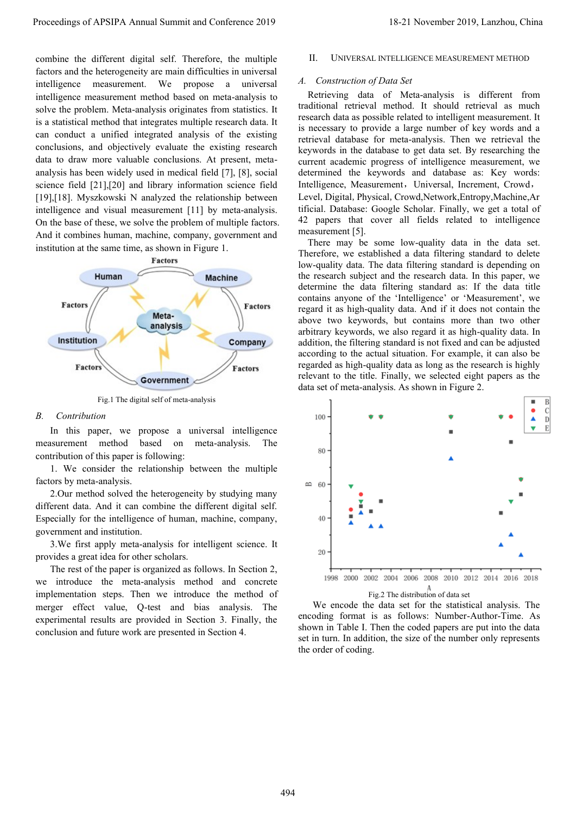combine the different digital self. Therefore, the multiple factors and the heterogeneity are main difficulties in universal intelligence measurement. We propose a universal intelligence measurement method based on meta-analysis to solve the problem. Meta-analysis originates from statistics. It is a statistical method that integrates multiple research data. It can conduct a unified integrated analysis of the existing conclusions, and objectively evaluate the existing research data to draw more valuable conclusions. At present, metaanalysis has been widely used in medical field [7], [8], social science field [21],[20] and library information science field [19],[18]. Myszkowski N analyzed the relationship between intelligence and visual measurement [11] by meta-analysis. On the base of these, we solve the problem of multiple factors. And it combines human, machine, company, government and institution at the same time, as shown in Figure 1.



Fig.1 The digital self of meta-analysis

## *B. Contribution*

In this paper, we propose a universal intelligence measurement method based on meta-analysis. The contribution of this paper is following:

1. We consider the relationship between the multiple factors by meta-analysis.

2.Our method solved the heterogeneity by studying many different data. And it can combine the different digital self. Especially for the intelligence of human, machine, company, government and institution.

3.We first apply meta-analysis for intelligent science. It provides a great idea for other scholars.

The rest of the paper is organized as follows. In Section 2, we introduce the meta-analysis method and concrete implementation steps. Then we introduce the method of merger effect value, Q-test and bias analysis. The experimental results are provided in Section 3. Finally, the conclusion and future work are presented in Section 4.

# II. UNIVERSAL INTELLIGENCE MEASUREMENT METHOD

#### *A. Construction of Data Set*

Retrieving data of Meta-analysis is different from traditional retrieval method. It should retrieval as much research data as possible related to intelligent measurement. It is necessary to provide a large number of key words and a retrieval database for meta-analysis. Then we retrieval the keywords in the database to get data set. By researching the current academic progress of intelligence measurement, we determined the keywords and database as: Key words: Intelligence, Measurement, Universal, Increment, Crowd, Level, Digital, Physical, Crowd,Network,Entropy,Machine,Ar tificial. Database: Google Scholar. Finally, we get a total of 42 papers that cover all fields related to intelligence measurement [5].

There may be some low-quality data in the data set. Therefore, we established a data filtering standard to delete low-quality data. The data filtering standard is depending on the research subject and the research data. In this paper, we determine the data filtering standard as: If the data title contains anyone of the 'Intelligence' or 'Measurement', we regard it as high-quality data. And if it does not contain the above two keywords, but contains more than two other arbitrary keywords, we also regard it as high-quality data. In addition, the filtering standard is not fixed and can be adjusted according to the actual situation. For example, it can also be regarded as high-quality data as long as the research is highly relevant to the title. Finally, we selected eight papers as the data set of meta-analysis. As shown in Figure 2.



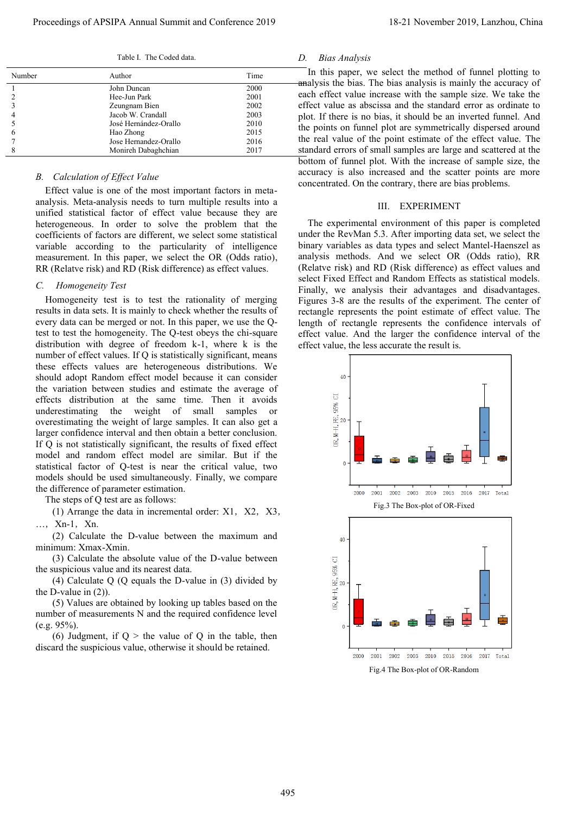Table I. The Coded data.

| Number | Author                | Time |    |
|--------|-----------------------|------|----|
|        | John Duncan           | 2000 | a. |
|        | Hee-Jun Park          | 2001 | e  |
|        | Zeungnam Bien         | 2002 | e  |
|        | Jacob W. Crandall     | 2003 | p  |
|        | José Hernández-Orallo | 2010 | tŀ |
| 6      | Hao Zhong             | 2015 |    |
|        | Jose Hernandez-Orallo | 2016 | tł |
|        | Monireh Dabaghchian   | 2017 | S1 |

#### *B. Calculation of Effect Value*

Effect value is one of the most important factors in metaanalysis. Meta-analysis needs to turn multiple results into a unified statistical factor of effect value because they are heterogeneous. In order to solve the problem that the coefficients of factors are different, we select some statistical variable according to the particularity of intelligence measurement. In this paper, we select the OR (Odds ratio), RR (Relatve risk) and RD (Risk difference) as effect values.

#### *C. Homogeneity Test*

Homogeneity test is to test the rationality of merging results in data sets. It is mainly to check whether the results of every data can be merged or not. In this paper, we use the Qtest to test the homogeneity. The Q-test obeys the chi-square distribution with degree of freedom k-1, where k is the number of effect values. If Q is statistically significant, means these effects values are heterogeneous distributions. We should adopt Random effect model because it can consider the variation between studies and estimate the average of effects distribution at the same time. Then it avoids underestimating the weight of small samples or overestimating the weight of large samples. It can also get a larger confidence interval and then obtain a better conclusion. If Q is not statistically significant, the results of fixed effect model and random effect model are similar. But if the statistical factor of Q-test is near the critical value, two models should be used simultaneously. Finally, we compare the difference of parameter estimation.

The steps of Q test are as follows:

(1) Arrange the data in incremental order:  $X1$ ,  $X2$ ,  $X3$ , …,Xn-1,Xn.

 (2) Calculate the D-value between the maximum and minimum: Xmax-Xmin.

 (3) Calculate the absolute value of the D-value between the suspicious value and its nearest data.

 (4) Calculate Q (Q equals the D-value in (3) divided by the D-value in (2)).

 (5) Values are obtained by looking up tables based on the number of measurements N and the required confidence level (e.g. 95%).

(6) Judgment, if  $Q >$  the value of Q in the table, then discard the suspicious value, otherwise it should be retained.

# *D. Bias Analysis*

In this paper, we select the method of funnel plotting to malysis the bias. The bias analysis is mainly the accuracy of ach effect value increase with the sample size. We take the ffect value as abscissa and the standard error as ordinate to plot. If there is no bias, it should be an inverted funnel. And he points on funnel plot are symmetrically dispersed around he real value of the point estimate of the effect value. The tandard errors of small samples are large and scattered at the bottom of funnel plot. With the increase of sample size, the accuracy is also increased and the scatter points are more concentrated. On the contrary, there are bias problems.

#### III. EXPERIMENT

The experimental environment of this paper is completed under the RevMan 5.3. After importing data set, we select the binary variables as data types and select Mantel-Haenszel as analysis methods. And we select OR (Odds ratio), RR (Relatve risk) and RD (Risk difference) as effect values and select Fixed Effect and Random Effects as statistical models. Finally, we analysis their advantages and disadvantages. Figures 3-8 are the results of the experiment. The center of rectangle represents the point estimate of effect value. The length of rectangle represents the confidence intervals of effect value. And the larger the confidence interval of the effect value, the less accurate the result is.

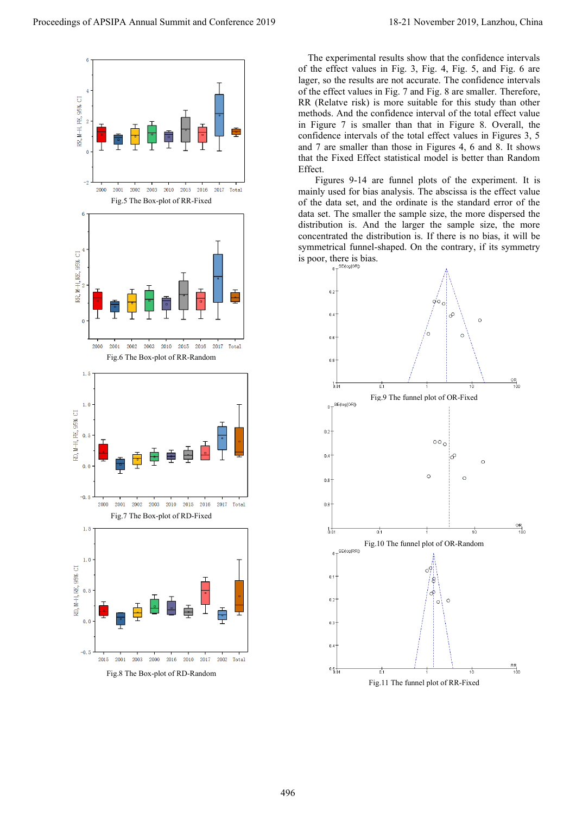

Fig.8 The Box-plot of RD-Random

The experimental results show that the confidence intervals of the effect values in Fig. 3, Fig. 4, Fig. 5, and Fig. 6 are lager, so the results are not accurate. The confidence intervals of the effect values in Fig. 7 and Fig. 8 are smaller. Therefore, RR (Relatve risk) is more suitable for this study than other methods. And the confidence interval of the total effect value in Figure 7 is smaller than that in Figure 8. Overall, the confidence intervals of the total effect values in Figures 3, 5 and 7 are smaller than those in Figures 4, 6 and 8. It shows that the Fixed Effect statistical model is better than Random Effect.

 Figures 9-14 are funnel plots of the experiment. It is mainly used for bias analysis. The abscissa is the effect value of the data set, and the ordinate is the standard error of the data set. The smaller the sample size, the more dispersed the distribution is. And the larger the sample size, the more concentrated the distribution is. If there is no bias, it will be symmetrical funnel-shaped. On the contrary, if its symmetry is poor, there is bias.

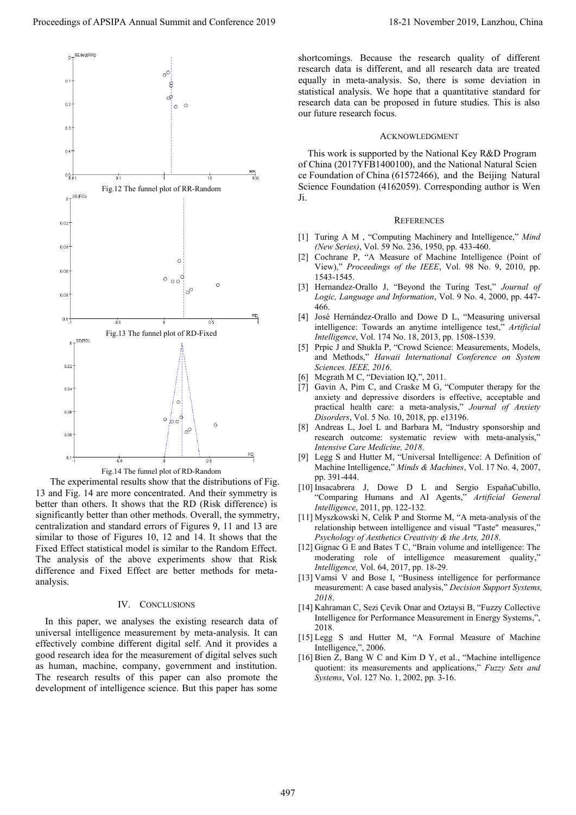

The experimental results show that the distributions of Fig. 13 and Fig. 14 are more concentrated. And their symmetry is better than others. It shows that the RD (Risk difference) is significantly better than other methods. Overall, the symmetry, centralization and standard errors of Figures 9, 11 and 13 are similar to those of Figures 10, 12 and 14. It shows that the Fixed Effect statistical model is similar to the Random Effect. The analysis of the above experiments show that Risk difference and Fixed Effect are better methods for metaanalysis.

#### IV. CONCLUSIONS

In this paper, we analyses the existing research data of universal intelligence measurement by meta-analysis. It can effectively combine different digital self. And it provides a good research idea for the measurement of digital selves such as human, machine, company, government and institution. The research results of this paper can also promote the development of intelligence science. But this paper has some

shortcomings. Because the research quality of different research data is different, and all research data are treated equally in meta-analysis. So, there is some deviation in statistical analysis. We hope that a quantitative standard for research data can be proposed in future studies. This is also our future research focus.

#### ACKNOWLEDGMENT

This work is supported by the National Key R&D Program of China (2017YFB1400100), and the National Natural Scien ce Foundation of China (61572466), and the Beijing Natural Science Foundation (4162059). Corresponding author is Wen Ji.

#### **REFERENCES**

- [1] Turing A M , "Computing Machinery and Intelligence," *Mind (New Series)*, Vol. 59 No. 236, 1950, pp. 433-460.
- [2] Cochrane P, "A Measure of Machine Intelligence (Point of View)," *Proceedings of the IEEE*, Vol. 98 No. 9, 2010, pp. 1543-1545.
- [3] Hernandez-Orallo J, "Beyond the Turing Test," *Journal of Logic, Language and Information*, Vol. 9 No. 4, 2000, pp. 447- 466.
- [4] José Hernández-Orallo and Dowe D L, "Measuring universal intelligence: Towards an anytime intelligence test," *Artificial Intelligence*, Vol. 174 No. 18, 2013, pp. 1508-1539.
- [5] Prpic J and Shukla P, "Crowd Science: Measurements, Models, and Methods," *Hawaii International Conference on System Sciences. IEEE, 2016*.
- [6] Mcgrath M C, "Deviation IQ,", 2011.
- [7] Gavin A, Pim C, and Craske M G, "Computer therapy for the anxiety and depressive disorders is effective, acceptable and practical health care: a meta-analysis," *Journal of Anxiety Disorders*, Vol. 5 No. 10, 2018, pp. e13196.
- [8] Andreas L, Joel L and Barbara M, "Industry sponsorship and research outcome: systematic review with meta-analysis," *Intensive Care Medicine, 2018*.
- [9] Legg S and Hutter M, "Universal Intelligence: A Definition of Machine Intelligence," *Minds & Machines*, Vol. 17 No. 4, 2007, pp. 391-444.
- [10] Insacabrera J, Dowe D L and Sergio EspañaCubillo, "Comparing Humans and AI Agents," *Artificial General Intelligence*, 2011, pp. 122-132.
- [11] Myszkowski N, Celik P and Storme M, "A meta-analysis of the relationship between intelligence and visual "Taste" measures," *Psychology of Aesthetics Creativity & the Arts, 2018*.
- [12] Gignac G E and Bates T C, "Brain volume and intelligence: The moderating role of intelligence measurement quality," *Intelligence,* Vol. 64, 2017, pp. 18-29.
- [13] Vamsi V and Bose I, "Business intelligence for performance measurement: A case based analysis," *Decision Support Systems, 2018*.
- [14] Kahraman C, Sezi Çevik Onar and Oztaysi B, "Fuzzy Collective Intelligence for Performance Measurement in Energy Systems,", 2018.
- [15] Legg S and Hutter M, "A Formal Measure of Machine Intelligence,", 2006.
- [16] Bien Z, Bang W C and Kim D Y, et al., "Machine intelligence quotient: its measurements and applications," *Fuzzy Sets and Systems*, Vol. 127 No. 1, 2002, pp. 3-16.